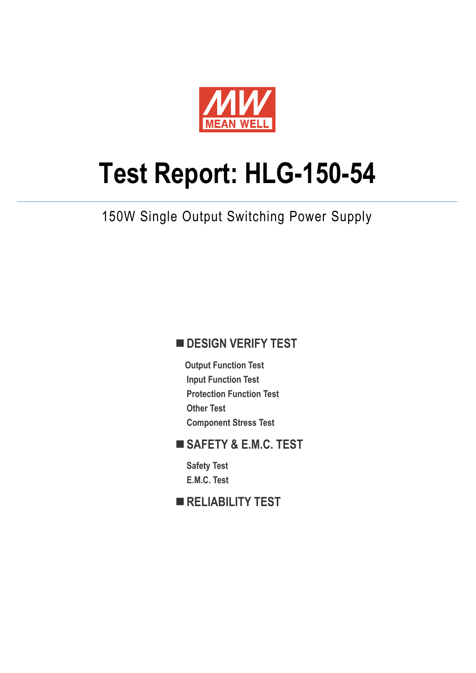

# **Test Report: HLG-150-54**

150W Single Output Switching Power Supply

# **DESIGN VERIFY TEST**

**Output Function Test Input Function Test Protection Function Test Other Test Component Stress Test**

# **SAFETY & E.M.C. TEST**

**Safety Test E.M.C. Test**

**RELIABILITY TEST**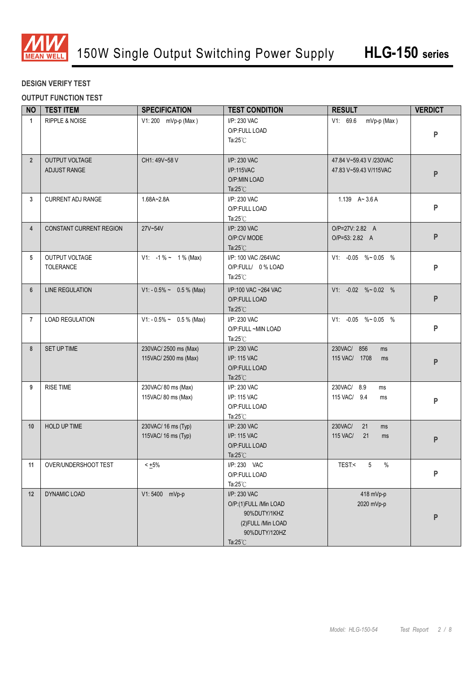

#### **DESIGN VERIFY TEST**

**OUTPUT FUNCTION TEST**

| <b>NO</b>      | <b>TEST ITEM</b>                      | <b>SPECIFICATION</b>                         | <b>TEST CONDITION</b>                                                                                               | <b>RESULT</b>                                      | <b>VERDICT</b> |
|----------------|---------------------------------------|----------------------------------------------|---------------------------------------------------------------------------------------------------------------------|----------------------------------------------------|----------------|
| $\mathbf{1}$   | <b>RIPPLE &amp; NOISE</b>             | V1: 200 mVp-p (Max)                          | I/P: 230 VAC<br>V1: 69.6<br>mVp-p (Max)<br>O/P:FULL LOAD<br>Ta:25 $°C$                                              |                                                    | ${\sf P}$      |
| $\overline{2}$ | <b>OUTPUT VOLTAGE</b><br>ADJUST RANGE | CH1: 49V~58 V                                | I/P: 230 VAC<br>I/P:115VAC<br>O/P:MIN LOAD<br>Ta: $25^{\circ}$ C                                                    | 47.84 V~59.43 V /230VAC<br>47.83 V~59.43 V/115VAC  | ${\sf P}$      |
| 3              | <b>CURRENT ADJ RANGE</b>              | 1.68A~2.8A                                   | I/P: 230 VAC<br>O/P:FULL LOAD<br>Ta: $25^{\circ}$ C                                                                 | 1.139 $A - 3.6A$                                   | P              |
| $\overline{4}$ | <b>CONSTANT CURRENT REGION</b>        | 27V~54V                                      | I/P: 230 VAC<br>O/P:CV MODE<br>Ta: $25^{\circ}$ C                                                                   | O/P=27V: 2.82 A<br>O/P=53: 2.82 A                  | P              |
| 5              | OUTPUT VOLTAGE<br><b>TOLERANCE</b>    | $V1: -1\% \sim 1\%$ (Max)                    | I/P: 100 VAC /264VAC<br>O/P:FULL/ 0% LOAD<br>Ta: $25^{\circ}$ C                                                     | V1: -0.05 %~0.05 %                                 | ${\sf P}$      |
| 6              | <b>LINE REGULATION</b>                | $V1: -0.5\% \sim 0.5\%$ (Max)                | I/P:100 VAC ~264 VAC<br>O/P:FULL LOAD<br>Ta: $25^{\circ}$ C                                                         | $V1: -0.02$ %~0.02 %                               | P              |
| $\overline{7}$ | <b>LOAD REGULATION</b>                | $V1: -0.5\% \sim 0.5\%$ (Max)                | I/P: 230 VAC<br>O/P:FULL ~MIN LOAD<br>Ta: $25^{\circ}$ C                                                            | V1: -0.05 %~0.05 %                                 | P              |
| 8              | SET UP TIME                           | 230VAC/2500 ms (Max)<br>115VAC/2500 ms (Max) | I/P: 230 VAC<br>I/P: 115 VAC<br>O/P:FULL LOAD<br>Ta: $25^{\circ}$ C                                                 | 230VAC/ 856<br>ms<br>115 VAC/ 1708<br>ms           | P              |
| 9              | <b>RISE TIME</b>                      | 230VAC/80 ms (Max)<br>115VAC/80 ms (Max)     | I/P: 230 VAC<br>I/P: 115 VAC<br>O/P:FULL LOAD<br>Ta: $25^{\circ}$ C                                                 | 230VAC/ 8.9<br>ms<br>115 VAC/ 9.4<br>ms            | ${\sf P}$      |
| 10             | HOLD UP TIME                          | 230VAC/ 16 ms (Typ)<br>115VAC/ 16 ms (Typ)   | I/P: 230 VAC<br>I/P: 115 VAC<br>O/P:FULL LOAD<br>Ta: $25^{\circ}$ C                                                 | 230VAC/<br>21<br>ms<br><b>115 VAC/</b><br>21<br>ms | ${\sf P}$      |
|                | 11 OVER/UNDERSHOOT TEST               | $< +5\%$                                     | I/P: 230 VAC<br>O/P:FULL LOAD<br>Ta: $25^{\circ}$ C                                                                 | TEST:< 5 %                                         | P              |
| 12             | <b>DYNAMIC LOAD</b>                   | V1:5400 mVp-p                                | I/P: 230 VAC<br>O/P:(1)FULL /Min LOAD<br>90%DUTY/1KHZ<br>(2) FULL / Min LOAD<br>90%DUTY/120HZ<br>Ta: $25^{\circ}$ C | 418 mVp-p<br>2020 mVp-p                            | ${\sf P}$      |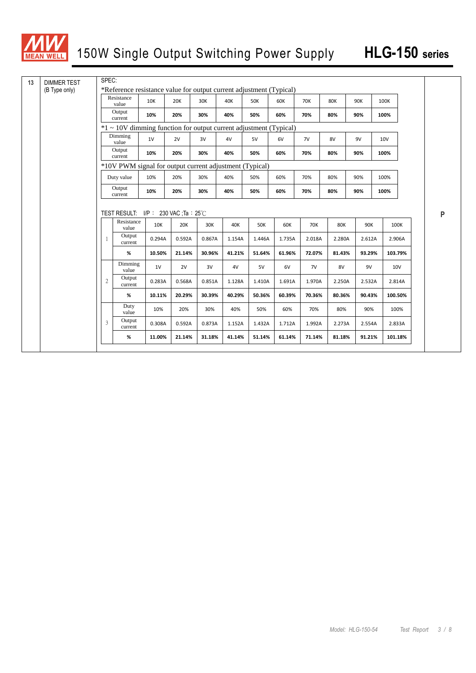

| 13 | <b>DIMMER TEST</b> | SPEC:                                                             |                                                                     |        |            |        |        |            |        |            |            |        |            |   |
|----|--------------------|-------------------------------------------------------------------|---------------------------------------------------------------------|--------|------------|--------|--------|------------|--------|------------|------------|--------|------------|---|
|    | (B Type only)      |                                                                   | *Reference resistance value for output current adjustment (Typical) |        |            |        |        |            |        |            |            |        |            |   |
|    |                    |                                                                   | Resistance<br>value                                                 | 10K    | <b>20K</b> | 30K    | 40K    | <b>50K</b> | 60K    | <b>70K</b> | <b>80K</b> | 90K    | 100K       |   |
|    |                    |                                                                   | Output<br>current                                                   | 10%    | 20%        | 30%    | 40%    | 50%        | 60%    | 70%        | 80%        | 90%    | 100%       |   |
|    |                    | *1 ~ 10V dimming function for output current adjustment (Typical) |                                                                     |        |            |        |        |            |        |            |            |        |            |   |
|    |                    |                                                                   | Dimming<br>value                                                    | 1V     | 2V         | 3V     | 4V     | 5V         | 6V     | 7V         | 8V         | 9V     | 10V        |   |
|    |                    |                                                                   | Output<br>current                                                   | 10%    | 20%        | 30%    | 40%    | 50%        | 60%    | 70%        | 80%        | 90%    | 100%       |   |
|    |                    |                                                                   | *10V PWM signal for output current adjustment (Typical)             |        |            |        |        |            |        |            |            |        |            |   |
|    |                    |                                                                   | Duty value                                                          | 10%    | 20%        | 30%    | 40%    | 50%        | 60%    | 70%        | 80%        | 90%    | 100%       |   |
|    |                    |                                                                   | Output<br>current                                                   | 10%    | 20%        | 30%    | 40%    | 50%        | 60%    | 70%        | 80%        | 90%    | 100%       |   |
|    |                    |                                                                   |                                                                     |        |            |        |        |            |        |            |            |        |            |   |
|    |                    |                                                                   | TEST RESULT: $I/P$ : 230 VAC Ta : 25 °C                             |        |            |        |        |            |        |            |            |        |            | P |
|    |                    |                                                                   | Resistance<br>value                                                 | 10K    | 20K        | 30K    | 40K    | <b>50K</b> | 60K    | <b>70K</b> | <b>80K</b> | 90K    | 100K       |   |
|    |                    | $\mathbf{1}$                                                      | Output<br>current                                                   | 0.294A | 0.592A     | 0.867A | 1.154A | 1.446A     | 1.735A | 2.018A     | 2.280A     | 2.612A | 2.906A     |   |
|    |                    |                                                                   | %                                                                   | 10.50% | 21.14%     | 30.96% | 41.21% | 51.64%     | 61.96% | 72.07%     | 81.43%     | 93.29% | 103.79%    |   |
|    |                    |                                                                   | Dimming<br>value                                                    | 1V     | 2V         | 3V     | 4V     | 5V         | 6V     | 7V         | 8V         | 9V     | <b>10V</b> |   |
|    |                    | $\overline{2}$                                                    | Output<br>current                                                   | 0.283A | 0.568A     | 0.851A | 1.128A | 1.410A     | 1.691A | 1.970A     | 2.250A     | 2.532A | 2.814A     |   |
|    |                    |                                                                   | %                                                                   | 10.11% | 20.29%     | 30.39% | 40.29% | 50.36%     | 60.39% | 70.36%     | 80.36%     | 90.43% | 100.50%    |   |
|    |                    |                                                                   | Duty<br>value                                                       | 10%    | 20%        | 30%    | 40%    | 50%        | 60%    | 70%        | 80%        | 90%    | 100%       |   |
|    | 3                  | Output<br>current                                                 | 0.308A                                                              | 0.592A | 0.873A     | 1.152A | 1.432A | 1.712A     | 1.992A | 2.273A     | 2.554A     | 2.833A |            |   |
|    |                    |                                                                   | %                                                                   | 11.00% | 21.14%     | 31.18% | 41.14% | 51.14%     | 61.14% | 71.14%     | 81.18%     | 91.21% | 101.18%    |   |
|    |                    |                                                                   |                                                                     |        |            |        |        |            |        |            |            |        |            |   |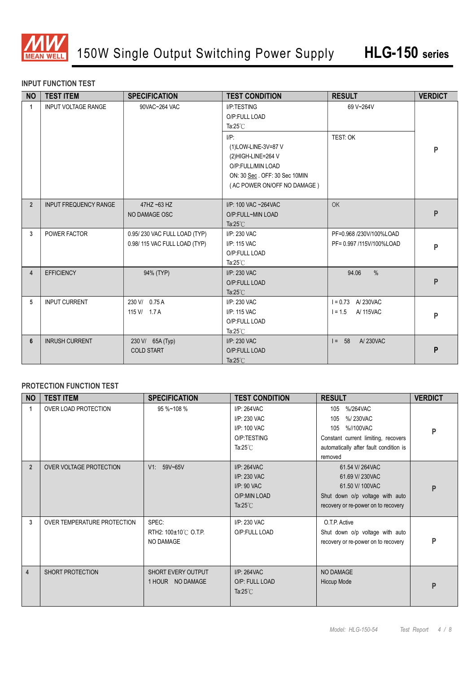

#### **INPUT FUNCTION TEST**

| <b>NO</b>            | <b>TEST ITEM</b>             | <b>SPECIFICATION</b>                                         | <b>TEST CONDITION</b>                                                                                                                     | <b>RESULT</b>                                       | <b>VERDICT</b> |
|----------------------|------------------------------|--------------------------------------------------------------|-------------------------------------------------------------------------------------------------------------------------------------------|-----------------------------------------------------|----------------|
| $\blacktriangleleft$ | <b>INPUT VOLTAGE RANGE</b>   | 90VAC~264 VAC                                                | I/P:TESTING<br>O/P:FULL LOAD<br>Ta: $25^{\circ}$ C                                                                                        |                                                     |                |
|                      |                              |                                                              | $I/P$ :<br>(1)LOW-LINE-3V=87 V<br>(2)HIGH-LINE=264 V<br>O/P:FULL/MIN LOAD<br>ON: 30 Sec. OFF: 30 Sec 10MIN<br>(AC POWER ON/OFF NO DAMAGE) | TEST: OK                                            | P              |
| $\overline{2}$       | <b>INPUT FREQUENCY RANGE</b> | $47$ HZ ~63 HZ<br>NO DAMAGE OSC                              | I/P: 100 VAC ~264VAC<br>O/P:FULL~MIN LOAD<br>Ta: $25^{\circ}$ C                                                                           | OK                                                  | P              |
| 3                    | POWER FACTOR                 | 0.95/230 VAC FULL LOAD (TYP)<br>0.98/115 VAC FULL LOAD (TYP) | I/P: 230 VAC<br>I/P: 115 VAC<br>O/P:FULL LOAD<br>Ta: $25^{\circ}$ C                                                                       | PF=0.968 /230V/100%LOAD<br>PF= 0.997 /115V/100%LOAD | P              |
| $\overline{4}$       | <b>EFFICIENCY</b>            | 94% (TYP)                                                    | I/P: 230 VAC<br>O/P:FULL LOAD<br>Ta: $25^{\circ}$ C                                                                                       | $\frac{0}{0}$<br>94.06                              | P              |
| 5                    | <b>INPUT CURRENT</b>         | 230 V/ 0.75 A<br>115 V/ 1.7 A                                | I/P: 230 VAC<br>I/P: 115 VAC<br>O/P:FULL LOAD<br>Ta: $25^{\circ}$ C                                                                       | $I = 0.73$ A 230 VAC<br>$1 = 1.5$<br>A/ 115VAC      | P              |
| 6                    | <b>INRUSH CURRENT</b>        | 230 V/ 65A (Typ)<br><b>COLD START</b>                        | I/P: 230 VAC<br>O/P:FULL LOAD<br>Ta: $25^{\circ}$ C                                                                                       | A/230VAC<br>$I = 58$                                | P              |

#### **PROTECTION FUNCTION TEST**

| <b>NO</b>      | <b>TEST ITEM</b>               | <b>SPECIFICATION</b>                          | <b>TEST CONDITION</b>                                                               | <b>RESULT</b>                                                                                                                                      | <b>VERDICT</b> |
|----------------|--------------------------------|-----------------------------------------------|-------------------------------------------------------------------------------------|----------------------------------------------------------------------------------------------------------------------------------------------------|----------------|
| 1              | OVER LOAD PROTECTION           | 95 %~108 %                                    | I/P: 264VAC<br>I/P: 230 VAC<br>I/P: 100 VAC<br>O/P:TESTING<br>Ta: $25^{\circ}$ C    | %/264VAC<br>105<br>%/230VAC<br>105<br>%//100VAC<br>105<br>Constant current limiting, recovers<br>automatically after fault condition is<br>removed | P              |
| $\overline{2}$ | <b>OVER VOLTAGE PROTECTION</b> | V1: 59V~65V                                   | I/P: 264VAC<br>I/P: 230 VAC<br>$I/P$ : 90 VAC<br>O/P:MIN LOAD<br>Ta: $25^{\circ}$ C | 61.54 V/264VAC<br>61.69 V/230VAC<br>61.50 V/ 100VAC<br>Shut down o/p voltage with auto<br>recovery or re-power on to recovery                      | P              |
| 3              | OVER TEMPERATURE PROTECTION    | SPEC:<br>RTH2: 100±10℃ O.T.P.<br>NO DAMAGE    | I/P: 230 VAC<br>O/P:FULL LOAD                                                       | O.T.P. Active<br>Shut down o/p voltage with auto<br>recovery or re-power on to recovery                                                            | P              |
| $\overline{4}$ | SHORT PROTECTION               | <b>SHORT EVERY OUTPUT</b><br>1 HOUR NO DAMAGE | I/P: 264VAC<br>O/P: FULL LOAD<br>Ta: $25^{\circ}$ C                                 | NO DAMAGE<br>Hiccup Mode                                                                                                                           | P              |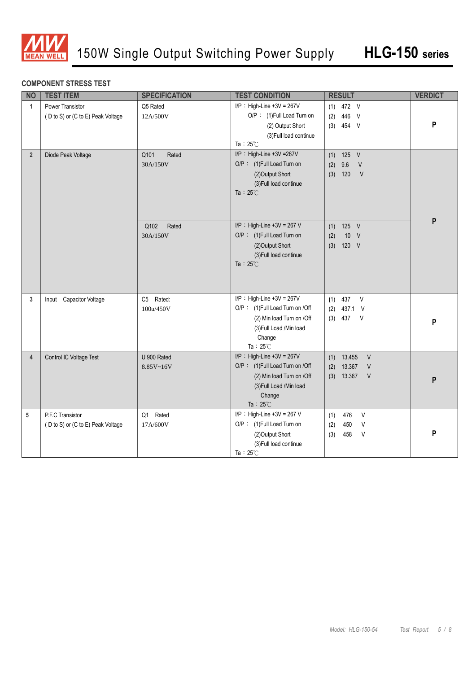

#### **COMPONENT STRESS TEST**

| <b>NO</b>      | <b>TEST ITEM</b>                                      | <b>SPECIFICATION</b>                       | <b>TEST CONDITION</b>                                                                                                                                   | <b>RESULT</b>                                                                | <b>VERDICT</b> |
|----------------|-------------------------------------------------------|--------------------------------------------|---------------------------------------------------------------------------------------------------------------------------------------------------------|------------------------------------------------------------------------------|----------------|
| $\mathbf{1}$   | Power Transistor<br>(D to S) or (C to E) Peak Voltage | Q5 Rated<br>12A/500V                       | $I/P$ : High-Line +3V = 267V<br>O/P: (1)Full Load Turn on<br>(2) Output Short<br>(3) Full load continue<br>Ta: $25^{\circ}$ C                           | $(1)$ 472 V<br>446 V<br>(2)<br>$(3)$ 454 V                                   | P              |
| $2^{\circ}$    | Diode Peak Voltage                                    | Q101<br>Rated<br>30A/150V<br>Q102<br>Rated | I/P: High-Line +3V =267V<br>O/P: (1)Full Load Turn on<br>(2)Output Short<br>(3) Full load continue<br>Ta: $25^{\circ}$ C<br>I/P : High-Line +3V = 267 V | 125 V<br>(1)<br>(2)<br>9.6<br>V<br>120<br>$\vee$<br>(3)<br>$(1)$ 125 V       | P              |
|                |                                                       | 30A/150V                                   | O/P: (1)Full Load Turn on<br>(2)Output Short<br>(3) Full load continue<br>Ta: $25^{\circ}$ C                                                            | 10 V<br>(2)<br>120 V<br>(3)                                                  |                |
| 3              | Input Capacitor Voltage                               | C5 Rated:<br>100u/450V                     | $I/P$ : High-Line +3V = 267V<br>O/P: (1)Full Load Turn on /Off<br>(2) Min load Turn on /Off<br>(3) Full Load / Min load<br>Change<br>Ta: $25^{\circ}$ C | 437<br>$\vee$<br>(1)<br>(2)<br>437.1<br>$\vee$<br>(3)<br>437<br>V            | P              |
| $\overline{4}$ | Control IC Voltage Test                               | U 900 Rated<br>8.85V~16V                   | $I/P$ : High-Line +3V = 267V<br>O/P: (1)Full Load Turn on /Off<br>(2) Min load Turn on /Off<br>(3) Full Load / Min load<br>Change<br>Ta: $25^{\circ}$ C | 13.455<br>$\vee$<br>(1)<br>13.367<br>(2)<br>$\vee$<br>$(3)$ 13.367<br>$\vee$ | P              |
| 5              | P.F.C Transistor<br>(D to S) or (C to E) Peak Voltage | Rated<br>Q1<br>17A/600V                    | $I/P$ : High-Line +3V = 267 V<br>O/P: (1)Full Load Turn on<br>(2)Output Short<br>(3) Full load continue<br>Ta: $25^{\circ}$ C                           | 476<br>$\vee$<br>(1)<br>$\vee$<br>(2)<br>450<br>$\vee$<br>(3)<br>458         | P              |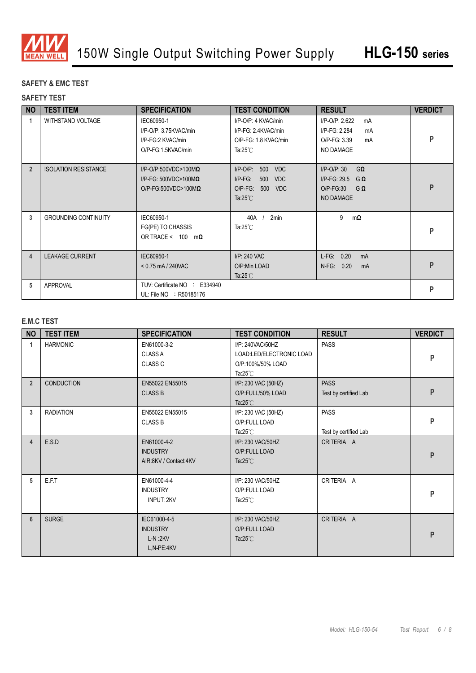

### **SAFETY & EMC TEST**

#### **SAFETY TEST**

| <b>NO</b>      | <b>TEST ITEM</b>            | <b>SPECIFICATION</b>                                                                                 | <b>TEST CONDITION</b>                                                                                        | <b>RESULT</b>                                                                                         | <b>VERDICT</b> |
|----------------|-----------------------------|------------------------------------------------------------------------------------------------------|--------------------------------------------------------------------------------------------------------------|-------------------------------------------------------------------------------------------------------|----------------|
| -1             | <b>WITHSTAND VOLTAGE</b>    | IEC60950-1<br>I/P-O/P: 3.75KVAC/min<br>I/P-FG:2 KVAC/min<br>O/P-FG:1.5KVAC/min                       | I/P-O/P: 4 KVAC/min<br>I/P-FG: 2.4KVAC/min<br>O/P-FG: 1.8 KVAC/min<br>Ta:25 $°C$                             | I/P-O/P: 2.622<br>mA<br>I/P-FG: 2.284<br>mA<br>O/P-FG: 3.39<br>mA<br>NO DAMAGE                        | P              |
| $\overline{2}$ | <b>ISOLATION RESISTANCE</b> | $I/P$ -O/P:500VDC>100M $\Omega$<br>$I/P$ -FG: 500VDC>100M $\Omega$<br>$O/P$ -FG:500VDC>100M $\Omega$ | $I/P$ -O/P:<br>500 VDC<br>$I/P-FG$ :<br>500<br><b>VDC</b><br>O/P-FG: 500<br><b>VDC</b><br>Ta: $25^{\circ}$ C | $I/P$ -O/P: 30<br>$G\Omega$<br>$I/P-FG: 29.5$<br>$G \Omega$<br>$O/P-FG:30$<br>$G \Omega$<br>NO DAMAGE | P              |
| 3              | <b>GROUNDING CONTINUITY</b> | IEC60950-1<br>FG(PE) TO CHASSIS<br>OR TRACE < $100 \text{ m}\Omega$                                  | 40A<br>2 <sub>min</sub><br>Ta:25 $°C$                                                                        | 9<br>mΩ                                                                                               | P              |
| $\overline{4}$ | <b>LEAKAGE CURRENT</b>      | IEC60950-1<br>$< 0.75$ mA / 240VAC                                                                   | I/P: 240 VAC<br>O/P:Min LOAD<br>Ta: $25^{\circ}$ C                                                           | $L-FG: 0.20$<br>mA<br>N-FG: 0.20<br>mA                                                                | P              |
| 5              | <b>APPROVAL</b>             | TUV: Certificate NO : E334940<br>UL: File NO : R50185176                                             |                                                                                                              |                                                                                                       | P              |

#### **E.M.C TEST**

| <b>NO</b>      | <b>TEST ITEM</b>  | <b>SPECIFICATION</b>                                       | <b>TEST CONDITION</b>                                                                              | <b>RESULT</b>                        | <b>VERDICT</b> |
|----------------|-------------------|------------------------------------------------------------|----------------------------------------------------------------------------------------------------|--------------------------------------|----------------|
| 1              | <b>HARMONIC</b>   | EN61000-3-2<br><b>CLASS A</b><br><b>CLASS C</b>            | I/P: 240VAC/50HZ<br>LOAD:LED/ELECTRONIC LOAD<br>O/P:100%/50% LOAD<br>Ta: $25^{\circ}$ C            | PASS                                 | P              |
| $\overline{2}$ | <b>CONDUCTION</b> | EN55022 EN55015<br><b>CLASS B</b>                          | I/P: 230 VAC (50HZ)<br>O/P:FULL/50% LOAD<br>Ta: $25^{\circ}$ C                                     | <b>PASS</b><br>Test by certified Lab | P              |
| 3              | <b>RADIATION</b>  | EN55022 EN55015<br><b>CLASS B</b>                          | I/P: 230 VAC (50HZ)<br><b>PASS</b><br>O/P:FULL LOAD<br>Ta: $25^{\circ}$ C<br>Test by certified Lab |                                      | P              |
| $\overline{4}$ | E.S.D             | EN61000-4-2<br><b>INDUSTRY</b><br>AIR:8KV / Contact:4KV    | I/P: 230 VAC/50HZ<br>O/P:FULL LOAD<br>Ta: $25^{\circ}$ C                                           | CRITERIA A                           | P              |
| 5              | E.F.T             | EN61000-4-4<br><b>INDUSTRY</b><br><b>INPUT: 2KV</b>        | I/P: 230 VAC/50HZ<br>O/P:FULL LOAD<br>Ta: $25^{\circ}$ C                                           | CRITERIA A                           | P              |
| 6              | <b>SURGE</b>      | IEC61000-4-5<br><b>INDUSTRY</b><br>$L-N:2KV$<br>L,N-PE:4KV | I/P: 230 VAC/50HZ<br>O/P:FULL LOAD<br>Ta: $25^{\circ}$ C                                           | CRITERIA A                           | P              |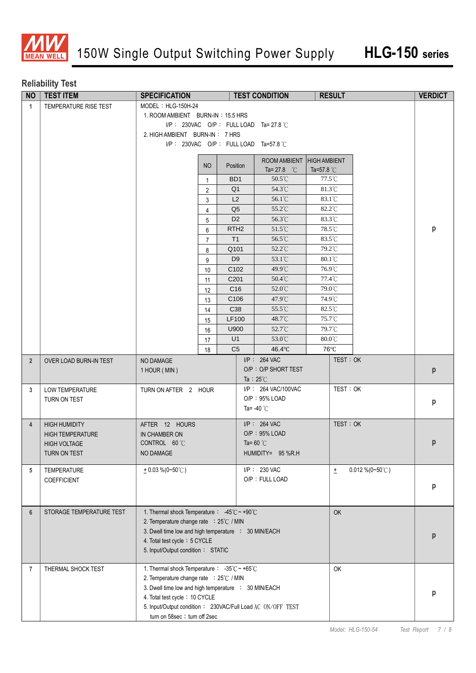

## **Reliability Test**

| <b>NO</b>      | <b>TEST ITEM</b>                  | <b>TEST CONDITION</b><br><b>SPECIFICATION</b>                     |                                |                  | <b>RESULT</b> |                           | <b>VERDICT</b>   |                           |   |
|----------------|-----------------------------------|-------------------------------------------------------------------|--------------------------------|------------------|---------------|---------------------------|------------------|---------------------------|---|
| $\overline{1}$ | TEMPERATURE RISE TEST             | $MODEL : HLG-150H-24$                                             |                                |                  |               |                           |                  |                           |   |
|                |                                   | 1. ROOM AMBIENT BURN-IN: 15.5 HRS                                 |                                |                  |               |                           |                  |                           |   |
|                |                                   | I/P: 230VAC O/P: FULL LOAD Ta= 27.8 $\degree$ C                   |                                |                  |               |                           |                  |                           |   |
|                |                                   |                                                                   | 2. HIGH AMBIENT BURN-IN: 7 HRS |                  |               |                           |                  |                           |   |
|                |                                   | I/P: 230VAC O/P: FULL LOAD Ta=57.8 °C                             |                                |                  |               |                           |                  |                           |   |
|                |                                   |                                                                   |                                |                  |               | ROOM AMBIENT HIGH AMBIENT |                  |                           |   |
|                |                                   |                                                                   | NO                             | Position         |               | Ta= 27.8 $^{\circ}$ C     | Ta=57.8 °C       |                           |   |
|                |                                   |                                                                   | $\mathbf{1}$                   | BD <sub>1</sub>  |               | 50.5°C                    | 77.5°C           |                           |   |
|                |                                   |                                                                   | $\overline{2}$                 | Q <sub>1</sub>   |               | 54.3°C                    | 81.3°C           |                           |   |
|                |                                   |                                                                   | 3                              | L2               |               | 56.1°C                    | 83.1°C           |                           |   |
|                |                                   |                                                                   | $\overline{4}$                 | Q <sub>5</sub>   |               | 55.2°C                    | 82.2°C           |                           |   |
|                |                                   |                                                                   | 5                              | D <sub>2</sub>   |               | 56.3°C                    | 83.3°C           |                           |   |
|                |                                   |                                                                   | 6                              | RTH <sub>2</sub> |               | 51.5°C                    | 78.5°C           |                           | р |
|                |                                   |                                                                   | 7                              | T1               |               | 56.5°C                    | 83.5°C           |                           |   |
|                |                                   |                                                                   | 8                              | Q101             |               | 52.2°C                    | 79.2°C           |                           |   |
|                |                                   |                                                                   | 9                              | D <sub>9</sub>   |               | 53.1°C                    | $80.1^{\circ}$ C |                           |   |
|                |                                   |                                                                   | 10                             | C <sub>102</sub> |               | $49.9^{\circ}$ C          | 76.9°C           |                           |   |
|                |                                   |                                                                   | 11                             | C <sub>201</sub> |               | 50.4°C                    | 77.4°C           |                           |   |
|                |                                   |                                                                   | 12                             | C <sub>16</sub>  |               | 52.0°C                    | 79.0°C           |                           |   |
|                |                                   |                                                                   | 13                             | C106             |               | 47.9°C                    | 74.9°C           |                           |   |
|                |                                   |                                                                   | 14                             | C38              |               | 55.5°C                    | 82.5°C           |                           |   |
|                |                                   |                                                                   | 15                             | LF100            |               | 48.7°C                    | 75.7°C           |                           |   |
|                |                                   |                                                                   | 16                             | U900             |               | 52.7°C                    | 79.7°C           |                           |   |
|                |                                   |                                                                   | 17                             | U <sub>1</sub>   |               | 53.0 $\degree$ C          | $80.0^{\circ}$ C |                           |   |
|                |                                   |                                                                   | 18                             | C <sub>5</sub>   |               | 46.4°C                    | $76^{\circ}$ C   |                           |   |
| $\overline{2}$ | OVER LOAD BURN-IN TEST            | NO DAMAGE                                                         |                                |                  |               | $I/P$ : 264 VAC           |                  | TEST: OK                  |   |
|                |                                   | 1 HOUR (MIN)                                                      |                                |                  |               | O/P: O/P SHORT TEST       |                  |                           | p |
|                |                                   |                                                                   |                                |                  |               | Ta : $25^{\circ}$ C       |                  |                           |   |
| 3              | <b>LOW TEMPERATURE</b>            | TURN ON AFTER 2 HOUR                                              |                                |                  |               | I/P: 264 VAC/100VAC       |                  | TEST: OK                  |   |
|                | TURN ON TEST                      |                                                                   |                                |                  |               | O/P: 95% LOAD             |                  |                           | p |
|                |                                   |                                                                   |                                |                  |               | Ta= $-40^{\circ}$ C       |                  |                           |   |
| $\overline{4}$ | <b>HIGH HUMIDITY</b>              | AFTER 12 HOURS                                                    |                                |                  |               | $I/P$ : 264 VAC           |                  | TEST: OK                  |   |
|                | <b>HIGH TEMPERATURE</b>           | IN CHAMBER ON                                                     |                                |                  |               | O/P: 95% LOAD             |                  |                           |   |
|                | <b>HIGH VOLTAGE</b>               | CONTROL 60 °C                                                     |                                |                  |               | Ta= $60^{\circ}$ C        |                  |                           | р |
|                | TURN ON TEST                      | NO DAMAGE                                                         |                                |                  |               | HUMIDITY= 95 %R.H         |                  |                           |   |
|                |                                   | $+0.03\%$ (0~50°C)                                                |                                |                  |               | I/P: 230 VAC              |                  | $0.012\% (0-50^{\circ}C)$ |   |
| 5              | <b>TEMPERATURE</b><br>COEFFICIENT |                                                                   |                                |                  |               | O/P: FULL LOAD            | $\pm$            |                           |   |
|                |                                   |                                                                   |                                |                  |               |                           |                  |                           | р |
|                |                                   |                                                                   |                                |                  |               |                           |                  |                           |   |
|                | STORAGE TEMPERATURE TEST          | 1. Thermal shock Temperature : $-45^{\circ}$ C ~ +90 $^{\circ}$ C |                                |                  |               |                           |                  |                           |   |
| 6              |                                   | 2. Temperature change rate : 25°C / MIN                           |                                |                  |               |                           | OK               |                           |   |
|                |                                   | 3. Dwell time low and high temperature : 30 MIN/EACH              |                                |                  |               |                           |                  |                           |   |
|                |                                   | 4. Total test cycle: 5 CYCLE                                      |                                |                  |               |                           |                  |                           | р |
|                |                                   | 5. Input/Output condition: STATIC                                 |                                |                  |               |                           |                  |                           |   |
|                |                                   |                                                                   |                                |                  |               |                           |                  |                           |   |
| 7              | THERMAL SHOCK TEST                | 1. Thermal shock Temperature : -35℃~ +65℃                         |                                |                  |               |                           | OK               |                           |   |
|                |                                   | 2. Temperature change rate : 25°C / MIN                           |                                |                  |               |                           |                  |                           |   |
|                |                                   | 3. Dwell time low and high temperature : 30 MIN/EACH              |                                |                  |               |                           |                  |                           | р |
|                |                                   | 4. Total test cycle: 10 CYCLE                                     |                                |                  |               |                           |                  |                           |   |
|                |                                   | 5. Input/Output condition: 230VAC/Full Load AC_ON/OFF_TEST        |                                |                  |               |                           |                  |                           |   |
|                |                                   | turn on 58sec ; turn off 2sec                                     |                                |                  |               |                           |                  |                           |   |